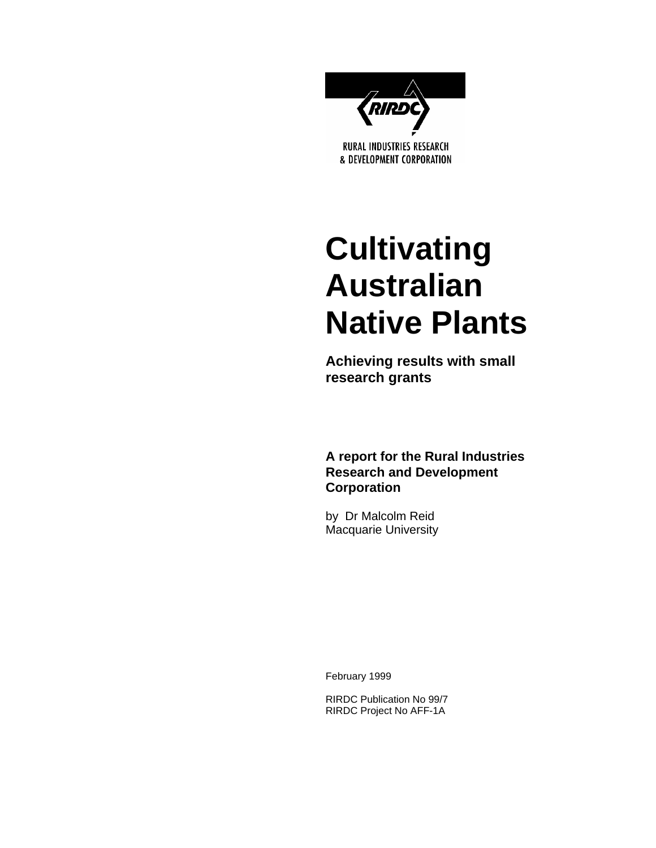

# **Cultivating Australian Native Plants**

**Achieving results with small research grants** 

**A report for the Rural Industries Research and Development Corporation** 

by Dr Malcolm Reid Macquarie University

February 1999

RIRDC Publication No 99/7 RIRDC Project No AFF-1A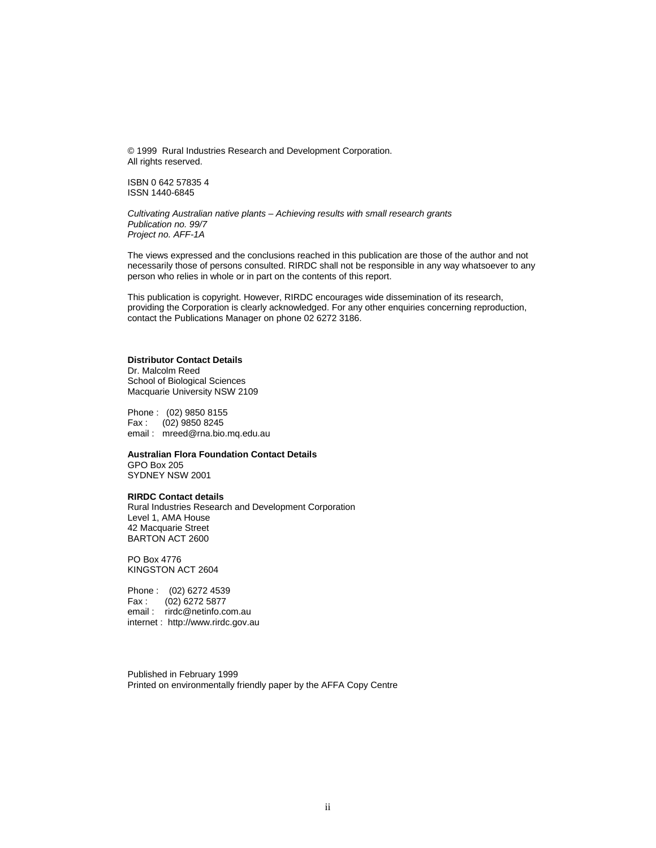© 1999 Rural Industries Research and Development Corporation. All rights reserved.

ISBN 0 642 57835 4 ISSN 1440-6845

*Cultivating Australian native plants – Achieving results with small research grants Publication no. 99/7 Project no. AFF-1A* 

The views expressed and the conclusions reached in this publication are those of the author and not necessarily those of persons consulted. RIRDC shall not be responsible in any way whatsoever to any person who relies in whole or in part on the contents of this report.

This publication is copyright. However, RIRDC encourages wide dissemination of its research, providing the Corporation is clearly acknowledged. For any other enquiries concerning reproduction, contact the Publications Manager on phone 02 6272 3186.

#### **Distributor Contact Details**

Dr. Malcolm Reed School of Biological Sciences Macquarie University NSW 2109

Phone : (02) 9850 8155 Fax : (02) 9850 8245 email : mreed@rna.bio.mq.edu.au

**Australian Flora Foundation Contact Details** 

GPO Box 205 SYDNEY NSW 2001

#### **RIRDC Contact details**

Rural Industries Research and Development Corporation Level 1, AMA House 42 Macquarie Street BARTON ACT 2600

PO Box 4776 KINGSTON ACT 2604

Phone : (02) 6272 4539 Fax : (02) 6272 5877 email : rirdc@netinfo.com.au internet : http://www.rirdc.gov.au

Published in February 1999 Printed on environmentally friendly paper by the AFFA Copy Centre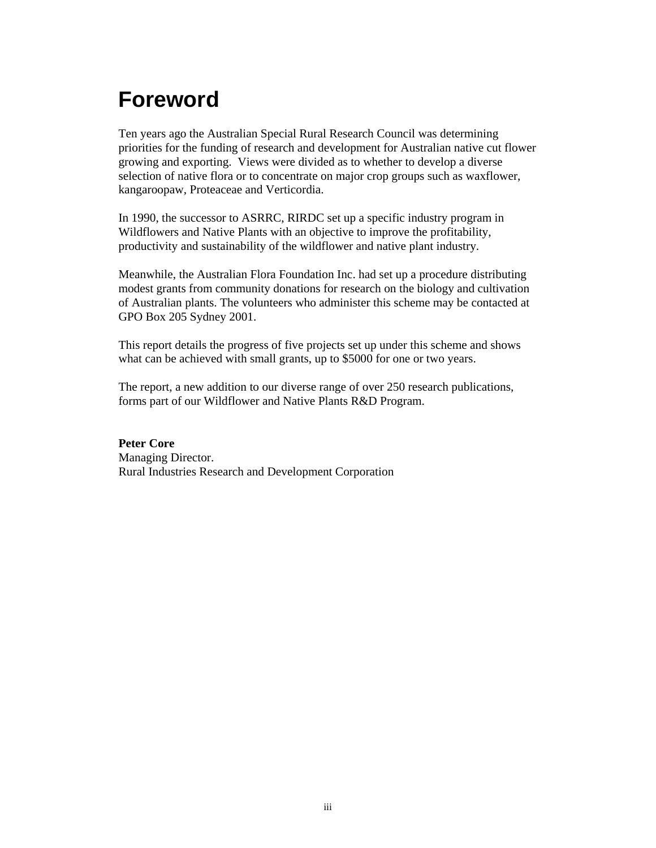## **Foreword**

Ten years ago the Australian Special Rural Research Council was determining priorities for the funding of research and development for Australian native cut flower growing and exporting. Views were divided as to whether to develop a diverse selection of native flora or to concentrate on major crop groups such as waxflower, kangaroopaw, Proteaceae and Verticordia.

In 1990, the successor to ASRRC, RIRDC set up a specific industry program in Wildflowers and Native Plants with an objective to improve the profitability, productivity and sustainability of the wildflower and native plant industry.

Meanwhile, the Australian Flora Foundation Inc. had set up a procedure distributing modest grants from community donations for research on the biology and cultivation of Australian plants. The volunteers who administer this scheme may be contacted at GPO Box 205 Sydney 2001.

This report details the progress of five projects set up under this scheme and shows what can be achieved with small grants, up to \$5000 for one or two years.

The report, a new addition to our diverse range of over 250 research publications, forms part of our Wildflower and Native Plants R&D Program.

**Peter Core**  Managing Director. Rural Industries Research and Development Corporation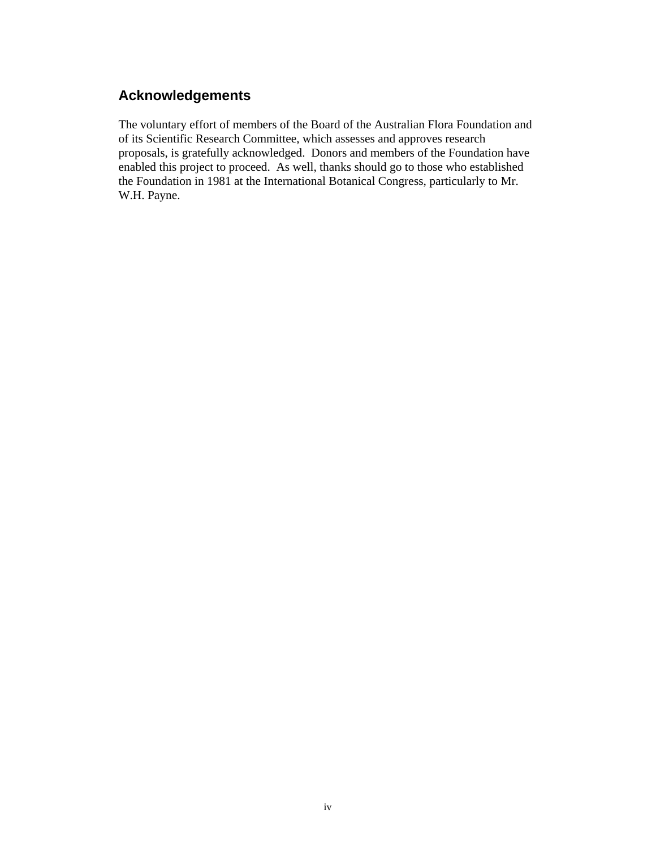### **Acknowledgements**

The voluntary effort of members of the Board of the Australian Flora Foundation and of its Scientific Research Committee, which assesses and approves research proposals, is gratefully acknowledged. Donors and members of the Foundation have enabled this project to proceed. As well, thanks should go to those who established the Foundation in 1981 at the International Botanical Congress, particularly to Mr. W.H. Payne.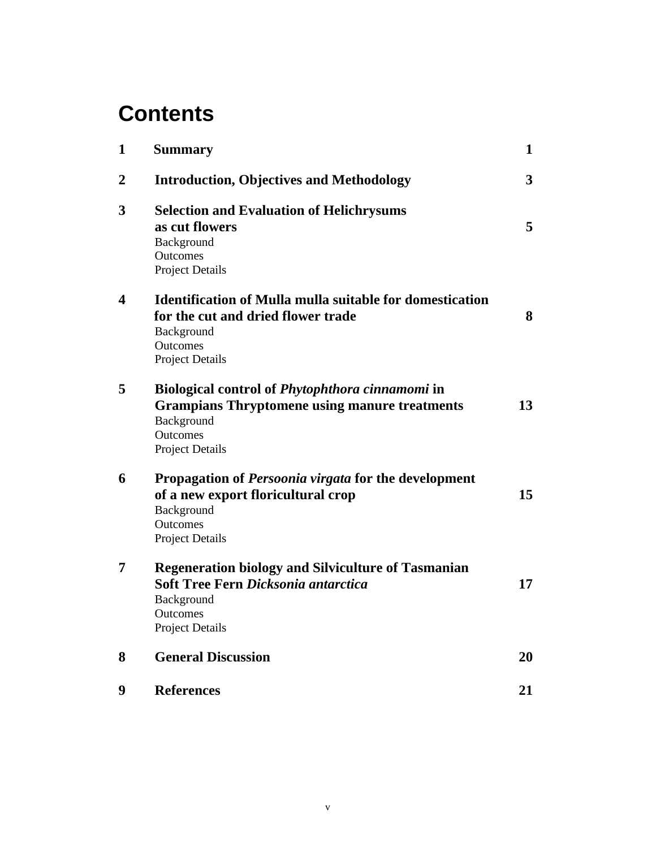### **Contents**

| $\mathbf{1}$     | <b>Summary</b>                                                                                                                                              | $\mathbf{1}$            |
|------------------|-------------------------------------------------------------------------------------------------------------------------------------------------------------|-------------------------|
| $\boldsymbol{2}$ | <b>Introduction, Objectives and Methodology</b>                                                                                                             | $\overline{\mathbf{3}}$ |
| 3                | <b>Selection and Evaluation of Helichrysums</b><br>as cut flowers<br>Background<br>Outcomes<br><b>Project Details</b>                                       | 5                       |
| 4                | <b>Identification of Mulla mulla suitable for domestication</b><br>for the cut and dried flower trade<br>Background<br>Outcomes<br>Project Details          | 8                       |
| 5                | <b>Biological control of Phytophthora cinnamomi in</b><br><b>Grampians Thryptomene using manure treatments</b><br>Background<br>Outcomes<br>Project Details | 13                      |
| 6                | Propagation of <i>Persoonia virgata</i> for the development<br>of a new export floricultural crop<br>Background<br>Outcomes<br>Project Details              | 15                      |
| 7                | <b>Regeneration biology and Silviculture of Tasmanian</b><br><b>Soft Tree Fern Dicksonia antarctica</b><br>Background<br>Outcomes<br>Project Details        | 17                      |
| 8                | <b>General Discussion</b>                                                                                                                                   | 20                      |
| 9                | <b>References</b>                                                                                                                                           | 21                      |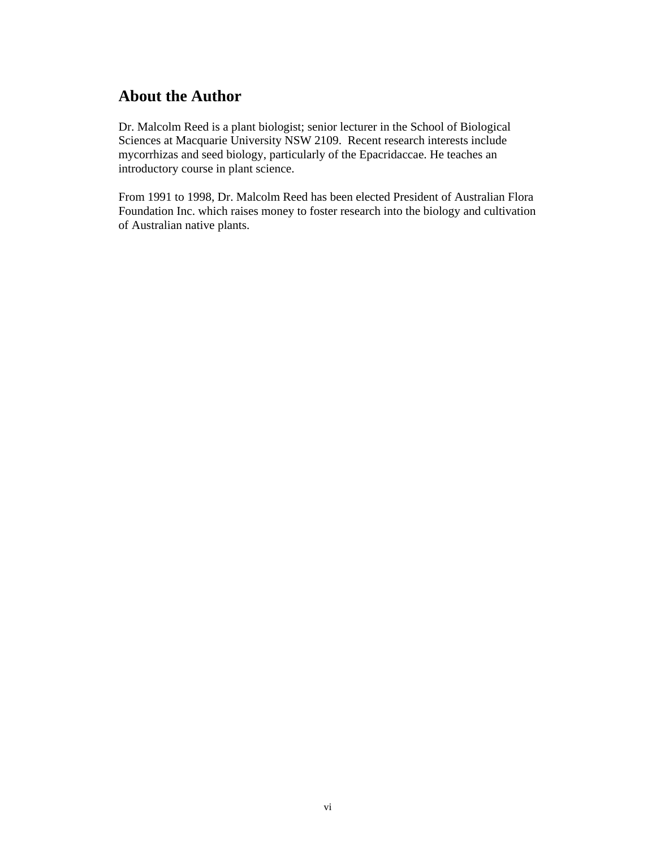### **About the Author**

Dr. Malcolm Reed is a plant biologist; senior lecturer in the School of Biological Sciences at Macquarie University NSW 2109. Recent research interests include mycorrhizas and seed biology, particularly of the Epacridaccae. He teaches an introductory course in plant science.

From 1991 to 1998, Dr. Malcolm Reed has been elected President of Australian Flora Foundation Inc. which raises money to foster research into the biology and cultivation of Australian native plants.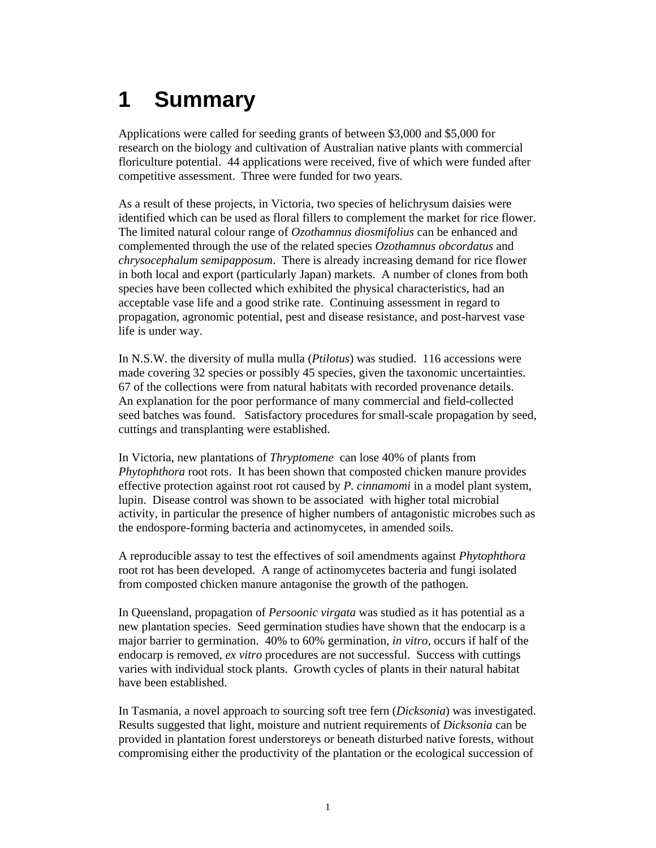# **1 Summary**

Applications were called for seeding grants of between \$3,000 and \$5,000 for research on the biology and cultivation of Australian native plants with commercial floriculture potential. 44 applications were received, five of which were funded after competitive assessment. Three were funded for two years.

As a result of these projects, in Victoria, two species of helichrysum daisies were identified which can be used as floral fillers to complement the market for rice flower. The limited natural colour range of *Ozothamnus diosmifolius* can be enhanced and complemented through the use of the related species *Ozothamnus obcordatus* and *chrysocephalum semipapposum*. There is already increasing demand for rice flower in both local and export (particularly Japan) markets. A number of clones from both species have been collected which exhibited the physical characteristics, had an acceptable vase life and a good strike rate. Continuing assessment in regard to propagation, agronomic potential, pest and disease resistance, and post-harvest vase life is under way.

In N.S.W. the diversity of mulla mulla (*Ptilotus*) was studied. 116 accessions were made covering 32 species or possibly 45 species, given the taxonomic uncertainties. 67 of the collections were from natural habitats with recorded provenance details. An explanation for the poor performance of many commercial and field-collected seed batches was found. Satisfactory procedures for small-scale propagation by seed, cuttings and transplanting were established.

In Victoria, new plantations of *Thryptomene* can lose 40% of plants from *Phytophthora* root rots. It has been shown that composted chicken manure provides effective protection against root rot caused by *P. cinnamomi* in a model plant system, lupin. Disease control was shown to be associated with higher total microbial activity, in particular the presence of higher numbers of antagonistic microbes such as the endospore-forming bacteria and actinomycetes, in amended soils.

A reproducible assay to test the effectives of soil amendments against *Phytophthora* root rot has been developed. A range of actinomycetes bacteria and fungi isolated from composted chicken manure antagonise the growth of the pathogen.

In Queensland, propagation of *Persoonic virgata* was studied as it has potential as a new plantation species. Seed germination studies have shown that the endocarp is a major barrier to germination. 40% to 60% germination, *in vitro*, occurs if half of the endocarp is removed, *ex vitro* procedures are not successful. Success with cuttings varies with individual stock plants. Growth cycles of plants in their natural habitat have been established.

In Tasmania, a novel approach to sourcing soft tree fern (*Dicksonia*) was investigated. Results suggested that light, moisture and nutrient requirements of *Dicksonia* can be provided in plantation forest understoreys or beneath disturbed native forests, without compromising either the productivity of the plantation or the ecological succession of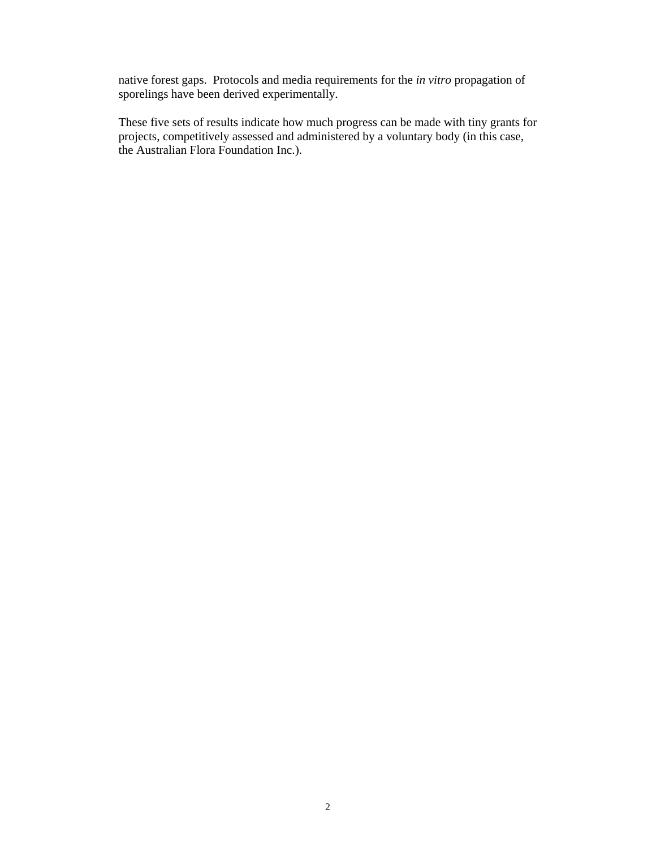native forest gaps. Protocols and media requirements for the *in vitro* propagation of sporelings have been derived experimentally.

These five sets of results indicate how much progress can be made with tiny grants for projects, competitively assessed and administered by a voluntary body (in this case, the Australian Flora Foundation Inc.).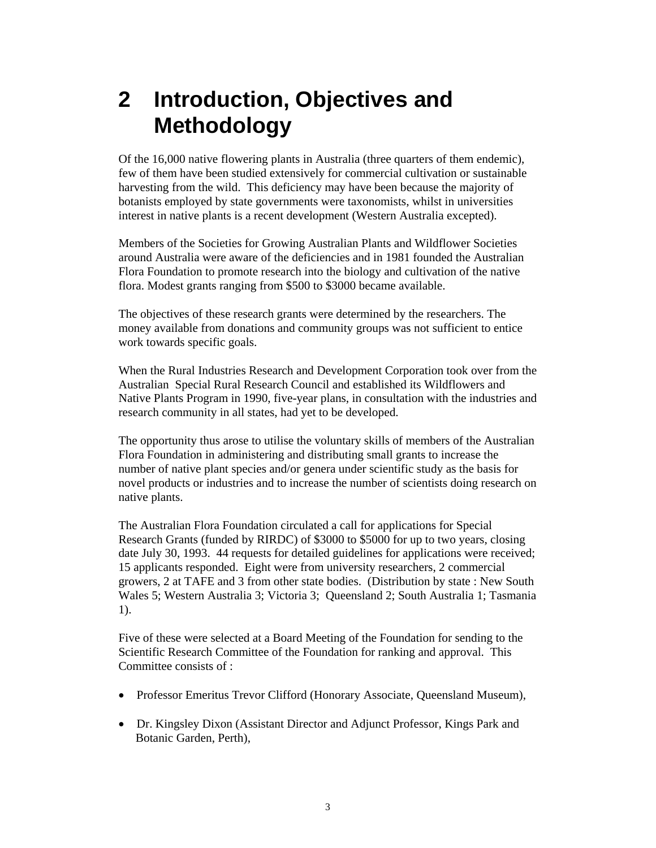### **2 Introduction, Objectives and Methodology**

Of the 16,000 native flowering plants in Australia (three quarters of them endemic), few of them have been studied extensively for commercial cultivation or sustainable harvesting from the wild. This deficiency may have been because the majority of botanists employed by state governments were taxonomists, whilst in universities interest in native plants is a recent development (Western Australia excepted).

Members of the Societies for Growing Australian Plants and Wildflower Societies around Australia were aware of the deficiencies and in 1981 founded the Australian Flora Foundation to promote research into the biology and cultivation of the native flora. Modest grants ranging from \$500 to \$3000 became available.

The objectives of these research grants were determined by the researchers. The money available from donations and community groups was not sufficient to entice work towards specific goals.

When the Rural Industries Research and Development Corporation took over from the Australian Special Rural Research Council and established its Wildflowers and Native Plants Program in 1990, five-year plans, in consultation with the industries and research community in all states, had yet to be developed.

The opportunity thus arose to utilise the voluntary skills of members of the Australian Flora Foundation in administering and distributing small grants to increase the number of native plant species and/or genera under scientific study as the basis for novel products or industries and to increase the number of scientists doing research on native plants.

The Australian Flora Foundation circulated a call for applications for Special Research Grants (funded by RIRDC) of \$3000 to \$5000 for up to two years, closing date July 30, 1993. 44 requests for detailed guidelines for applications were received; 15 applicants responded. Eight were from university researchers, 2 commercial growers, 2 at TAFE and 3 from other state bodies. (Distribution by state : New South Wales 5; Western Australia 3; Victoria 3; Queensland 2; South Australia 1; Tasmania 1).

Five of these were selected at a Board Meeting of the Foundation for sending to the Scientific Research Committee of the Foundation for ranking and approval. This Committee consists of :

- Professor Emeritus Trevor Clifford (Honorary Associate, Queensland Museum),
- Dr. Kingsley Dixon (Assistant Director and Adjunct Professor, Kings Park and Botanic Garden, Perth),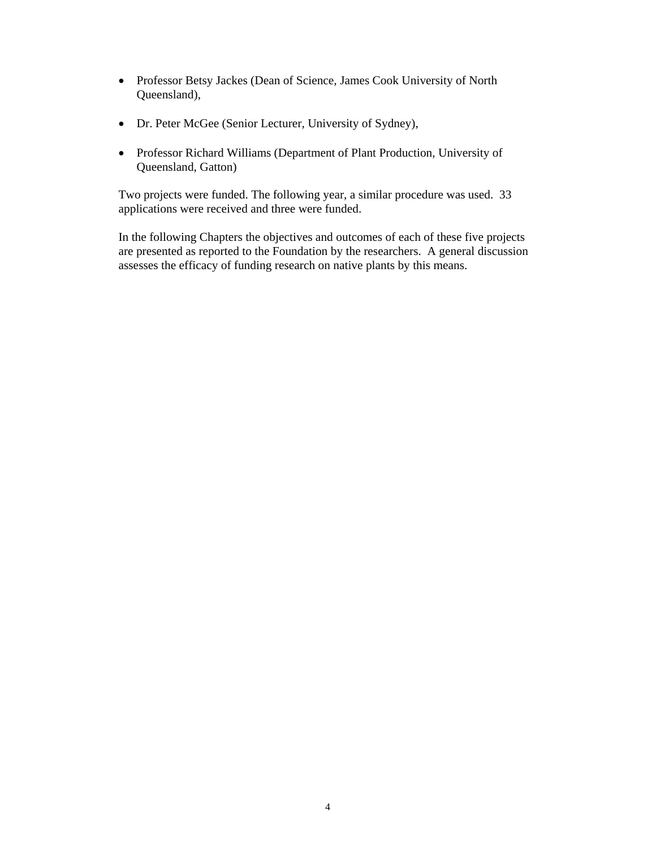- Professor Betsy Jackes (Dean of Science, James Cook University of North Queensland),
- Dr. Peter McGee (Senior Lecturer, University of Sydney),
- Professor Richard Williams (Department of Plant Production, University of Queensland, Gatton)

Two projects were funded. The following year, a similar procedure was used. 33 applications were received and three were funded.

In the following Chapters the objectives and outcomes of each of these five projects are presented as reported to the Foundation by the researchers. A general discussion assesses the efficacy of funding research on native plants by this means.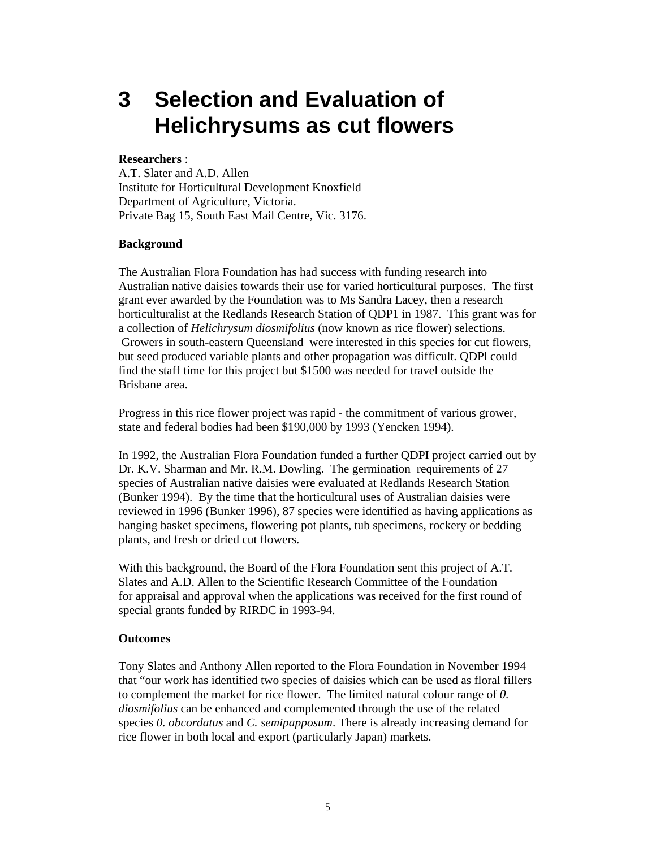### **3 Selection and Evaluation of Helichrysums as cut flowers**

#### **Researchers** :

A.T. Slater and A.D. Allen Institute for Horticultural Development Knoxfield Department of Agriculture, Victoria. Private Bag 15, South East Mail Centre, Vic. 3176.

#### **Background**

The Australian Flora Foundation has had success with funding research into Australian native daisies towards their use for varied horticultural purposes. The first grant ever awarded by the Foundation was to Ms Sandra Lacey, then a research horticulturalist at the Redlands Research Station of QDP1 in 1987. This grant was for a collection of *Helichrysum diosmifolius* (now known as rice flower) selections. Growers in south-eastern Queensland were interested in this species for cut flowers, but seed produced variable plants and other propagation was difficult. QDPl could find the staff time for this project but \$1500 was needed for travel outside the Brisbane area.

Progress in this rice flower project was rapid - the commitment of various grower, state and federal bodies had been \$190,000 by 1993 (Yencken 1994).

In 1992, the Australian Flora Foundation funded a further QDPI project carried out by Dr. K.V. Sharman and Mr. R.M. Dowling. The germination requirements of 27 species of Australian native daisies were evaluated at Redlands Research Station (Bunker 1994). By the time that the horticultural uses of Australian daisies were reviewed in 1996 (Bunker 1996), 87 species were identified as having applications as hanging basket specimens, flowering pot plants, tub specimens, rockery or bedding plants, and fresh or dried cut flowers.

With this background, the Board of the Flora Foundation sent this project of A.T. Slates and A.D. Allen to the Scientific Research Committee of the Foundation for appraisal and approval when the applications was received for the first round of special grants funded by RIRDC in 1993-94.

#### **Outcomes**

Tony Slates and Anthony Allen reported to the Flora Foundation in November 1994 that "our work has identified two species of daisies which can be used as floral fillers to complement the market for rice flower. The limited natural colour range of *0. diosmifolius* can be enhanced and complemented through the use of the related species *0. obcordatus* and *C. semipapposum*. There is already increasing demand for rice flower in both local and export (particularly Japan) markets.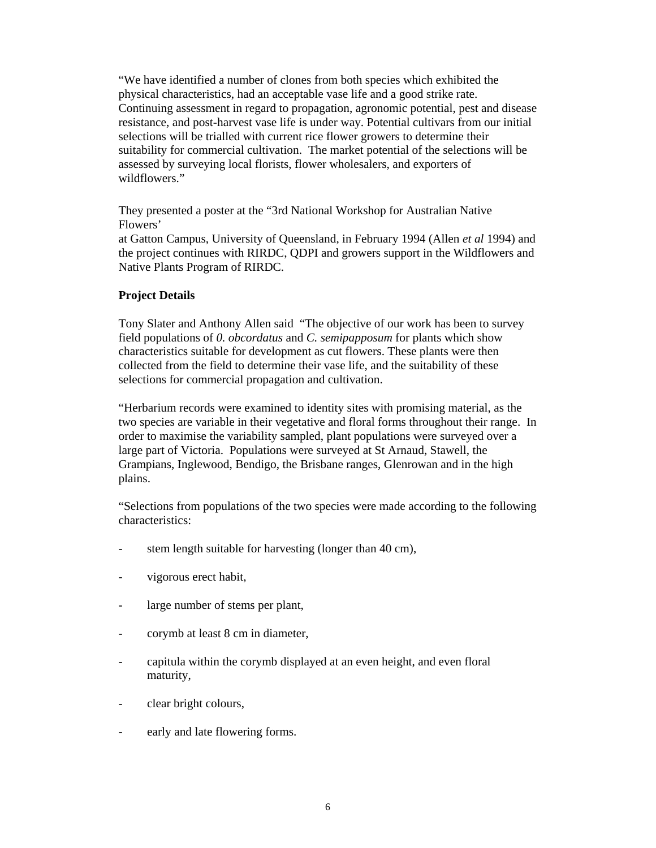"We have identified a number of clones from both species which exhibited the physical characteristics, had an acceptable vase life and a good strike rate. Continuing assessment in regard to propagation, agronomic potential, pest and disease resistance, and post-harvest vase life is under way. Potential cultivars from our initial selections will be trialled with current rice flower growers to determine their suitability for commercial cultivation. The market potential of the selections will be assessed by surveying local florists, flower wholesalers, and exporters of wildflowers."

They presented a poster at the "3rd National Workshop for Australian Native Flowers'

at Gatton Campus, University of Queensland, in February 1994 (Allen *et al* 1994) and the project continues with RIRDC, QDPI and growers support in the Wildflowers and Native Plants Program of RIRDC.

#### **Project Details**

Tony Slater and Anthony Allen said "The objective of our work has been to survey field populations of *0. obcordatus* and *C. semipapposum* for plants which show characteristics suitable for development as cut flowers. These plants were then collected from the field to determine their vase life, and the suitability of these selections for commercial propagation and cultivation.

"Herbarium records were examined to identity sites with promising material, as the two species are variable in their vegetative and floral forms throughout their range. In order to maximise the variability sampled, plant populations were surveyed over a large part of Victoria. Populations were surveyed at St Arnaud, Stawell, the Grampians, Inglewood, Bendigo, the Brisbane ranges, Glenrowan and in the high plains.

"Selections from populations of the two species were made according to the following characteristics:

- stem length suitable for harvesting (longer than 40 cm),
- vigorous erect habit,
- large number of stems per plant,
- corymb at least 8 cm in diameter,
- capitula within the corymb displayed at an even height, and even floral maturity,
- clear bright colours,
- early and late flowering forms.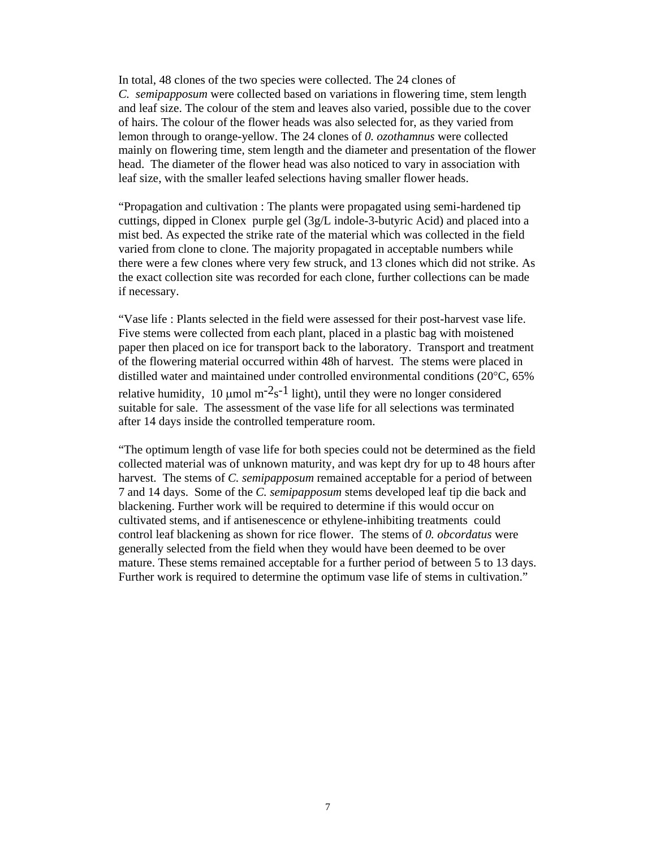In total, 48 clones of the two species were collected. The 24 clones of *C. semipapposum* were collected based on variations in flowering time, stem length and leaf size. The colour of the stem and leaves also varied, possible due to the cover of hairs. The colour of the flower heads was also selected for, as they varied from lemon through to orange-yellow. The 24 clones of *0. ozothamnus* were collected mainly on flowering time, stem length and the diameter and presentation of the flower head. The diameter of the flower head was also noticed to vary in association with leaf size, with the smaller leafed selections having smaller flower heads.

"Propagation and cultivation : The plants were propagated using semi-hardened tip cuttings, dipped in Clonex purple gel (3g/L indole-3-butyric Acid) and placed into a mist bed. As expected the strike rate of the material which was collected in the field varied from clone to clone. The majority propagated in acceptable numbers while there were a few clones where very few struck, and 13 clones which did not strike. As the exact collection site was recorded for each clone, further collections can be made if necessary.

"Vase life : Plants selected in the field were assessed for their post-harvest vase life. Five stems were collected from each plant, placed in a plastic bag with moistened paper then placed on ice for transport back to the laboratory. Transport and treatment of the flowering material occurred within 48h of harvest. The stems were placed in distilled water and maintained under controlled environmental conditions (20°C, 65% relative humidity, 10  $\mu$ mol m<sup>-2<sub>s</sub>-1</sup> light), until they were no longer considered suitable for sale. The assessment of the vase life for all selections was terminated after 14 days inside the controlled temperature room.

"The optimum length of vase life for both species could not be determined as the field collected material was of unknown maturity, and was kept dry for up to 48 hours after harvest. The stems of *C. semipapposum* remained acceptable for a period of between 7 and 14 days. Some of the *C. semipapposum* stems developed leaf tip die back and blackening. Further work will be required to determine if this would occur on cultivated stems, and if antisenescence or ethylene-inhibiting treatments could control leaf blackening as shown for rice flower. The stems of *0. obcordatus* were generally selected from the field when they would have been deemed to be over mature. These stems remained acceptable for a further period of between 5 to 13 days. Further work is required to determine the optimum vase life of stems in cultivation."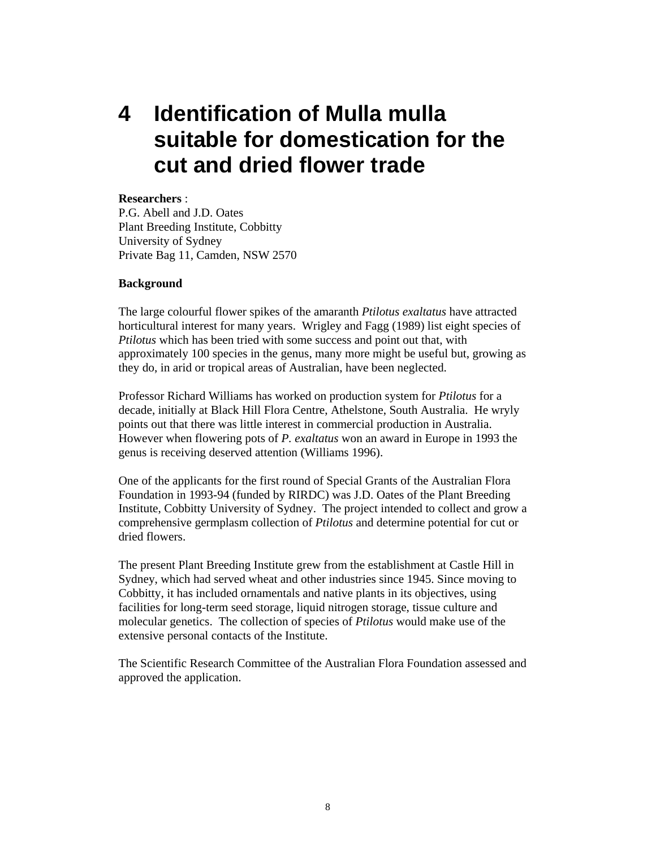### **4 Identification of Mulla mulla suitable for domestication for the cut and dried flower trade**

#### **Researchers** :

P.G. Abell and J.D. Oates Plant Breeding Institute, Cobbitty University of Sydney Private Bag 11, Camden, NSW 2570

#### **Background**

The large colourful flower spikes of the amaranth *Ptilotus exaltatus* have attracted horticultural interest for many years. Wrigley and Fagg (1989) list eight species of *Ptilotus* which has been tried with some success and point out that, with approximately 100 species in the genus, many more might be useful but, growing as they do, in arid or tropical areas of Australian, have been neglected.

Professor Richard Williams has worked on production system for *Ptilotus* for a decade, initially at Black Hill Flora Centre, Athelstone, South Australia. He wryly points out that there was little interest in commercial production in Australia. However when flowering pots of *P. exaltatus* won an award in Europe in 1993 the genus is receiving deserved attention (Williams 1996).

One of the applicants for the first round of Special Grants of the Australian Flora Foundation in 1993-94 (funded by RIRDC) was J.D. Oates of the Plant Breeding Institute, Cobbitty University of Sydney. The project intended to collect and grow a comprehensive germplasm collection of *Ptilotus* and determine potential for cut or dried flowers.

The present Plant Breeding Institute grew from the establishment at Castle Hill in Sydney, which had served wheat and other industries since 1945. Since moving to Cobbitty, it has included ornamentals and native plants in its objectives, using facilities for long-term seed storage, liquid nitrogen storage, tissue culture and molecular genetics. The collection of species of *Ptilotus* would make use of the extensive personal contacts of the Institute.

The Scientific Research Committee of the Australian Flora Foundation assessed and approved the application.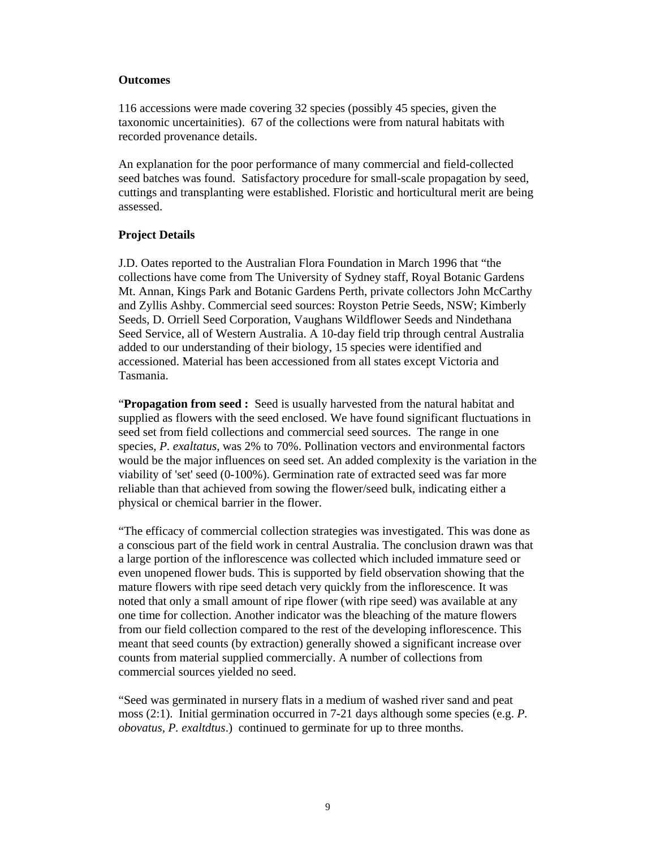#### **Outcomes**

116 accessions were made covering 32 species (possibly 45 species, given the taxonomic uncertainities). 67 of the collections were from natural habitats with recorded provenance details.

An explanation for the poor performance of many commercial and field-collected seed batches was found. Satisfactory procedure for small-scale propagation by seed, cuttings and transplanting were established. Floristic and horticultural merit are being assessed.

#### **Project Details**

J.D. Oates reported to the Australian Flora Foundation in March 1996 that "the collections have come from The University of Sydney staff, Royal Botanic Gardens Mt. Annan, Kings Park and Botanic Gardens Perth, private collectors John McCarthy and Zyllis Ashby. Commercial seed sources: Royston Petrie Seeds, NSW; Kimberly Seeds, D. Orriell Seed Corporation, Vaughans Wildflower Seeds and Nindethana Seed Service, all of Western Australia. A 10-day field trip through central Australia added to our understanding of their biology, 15 species were identified and accessioned. Material has been accessioned from all states except Victoria and Tasmania.

"**Propagation from seed :** Seed is usually harvested from the natural habitat and supplied as flowers with the seed enclosed. We have found significant fluctuations in seed set from field collections and commercial seed sources. The range in one species, *P. exaltatus*, was 2% to 70%. Pollination vectors and environmental factors would be the major influences on seed set. An added complexity is the variation in the viability of 'set' seed (0-100%). Germination rate of extracted seed was far more reliable than that achieved from sowing the flower/seed bulk, indicating either a physical or chemical barrier in the flower.

"The efficacy of commercial collection strategies was investigated. This was done as a conscious part of the field work in central Australia. The conclusion drawn was that a large portion of the inflorescence was collected which included immature seed or even unopened flower buds. This is supported by field observation showing that the mature flowers with ripe seed detach very quickly from the inflorescence. It was noted that only a small amount of ripe flower (with ripe seed) was available at any one time for collection. Another indicator was the bleaching of the mature flowers from our field collection compared to the rest of the developing inflorescence. This meant that seed counts (by extraction) generally showed a significant increase over counts from material supplied commercially. A number of collections from commercial sources yielded no seed.

"Seed was germinated in nursery flats in a medium of washed river sand and peat moss (2:1). Initial germination occurred in 7-21 days although some species (e.g. *P. obovatus, P. exaltdtus*.) continued to germinate for up to three months.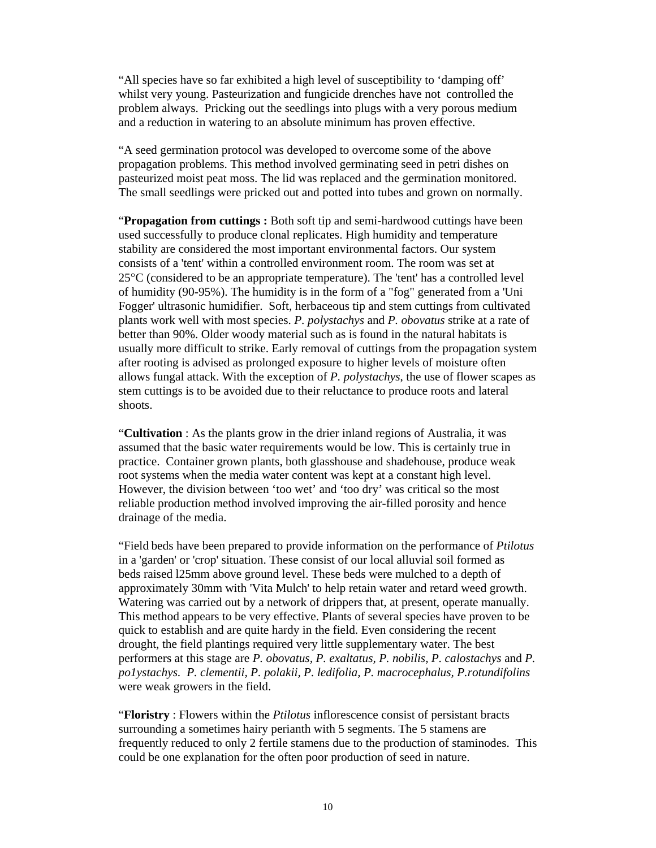"All species have so far exhibited a high level of susceptibility to 'damping off' whilst very young. Pasteurization and fungicide drenches have not controlled the problem always. Pricking out the seedlings into plugs with a very porous medium and a reduction in watering to an absolute minimum has proven effective.

"A seed germination protocol was developed to overcome some of the above propagation problems. This method involved germinating seed in petri dishes on pasteurized moist peat moss. The lid was replaced and the germination monitored. The small seedlings were pricked out and potted into tubes and grown on normally.

"**Propagation from cuttings :** Both soft tip and semi-hardwood cuttings have been used successfully to produce clonal replicates. High humidity and temperature stability are considered the most important environmental factors. Our system consists of a 'tent' within a controlled environment room. The room was set at 25°C (considered to be an appropriate temperature). The 'tent' has a controlled level of humidity (90-95%). The humidity is in the form of a "fog" generated from a 'Uni Fogger' ultrasonic humidifier. Soft, herbaceous tip and stem cuttings from cultivated plants work well with most species. *P. polystachys* and *P. obovatus* strike at a rate of better than 90%. Older woody material such as is found in the natural habitats is usually more difficult to strike. Early removal of cuttings from the propagation system after rooting is advised as prolonged exposure to higher levels of moisture often allows fungal attack. With the exception of *P. polystachys*, the use of flower scapes as stem cuttings is to be avoided due to their reluctance to produce roots and lateral shoots.

"**Cultivation** : As the plants grow in the drier inland regions of Australia, it was assumed that the basic water requirements would be low. This is certainly true in practice. Container grown plants, both glasshouse and shadehouse, produce weak root systems when the media water content was kept at a constant high level. However, the division between 'too wet' and 'too dry' was critical so the most reliable production method involved improving the air-filled porosity and hence drainage of the media.

"Field beds have been prepared to provide information on the performance of *Ptilotus* in a 'garden' or 'crop' situation. These consist of our local alluvial soil formed as beds raised l25mm above ground level. These beds were mulched to a depth of approximately 30mm with 'Vita Mulch' to help retain water and retard weed growth. Watering was carried out by a network of drippers that, at present, operate manually. This method appears to be very effective. Plants of several species have proven to be quick to establish and are quite hardy in the field. Even considering the recent drought, the field plantings required very little supplementary water. The best performers at this stage are *P. obovatus, P. exaltatus, P. nobilis, P. calostachys* and *P. po1ystachys. P. clementii, P. polakii, P. ledifolia, P. macrocephalus, P.rotundifolins* were weak growers in the field.

"**Floristry** : Flowers within the *Ptilotus* inflorescence consist of persistant bracts surrounding a sometimes hairy perianth with 5 segments. The 5 stamens are frequently reduced to only 2 fertile stamens due to the production of staminodes. This could be one explanation for the often poor production of seed in nature.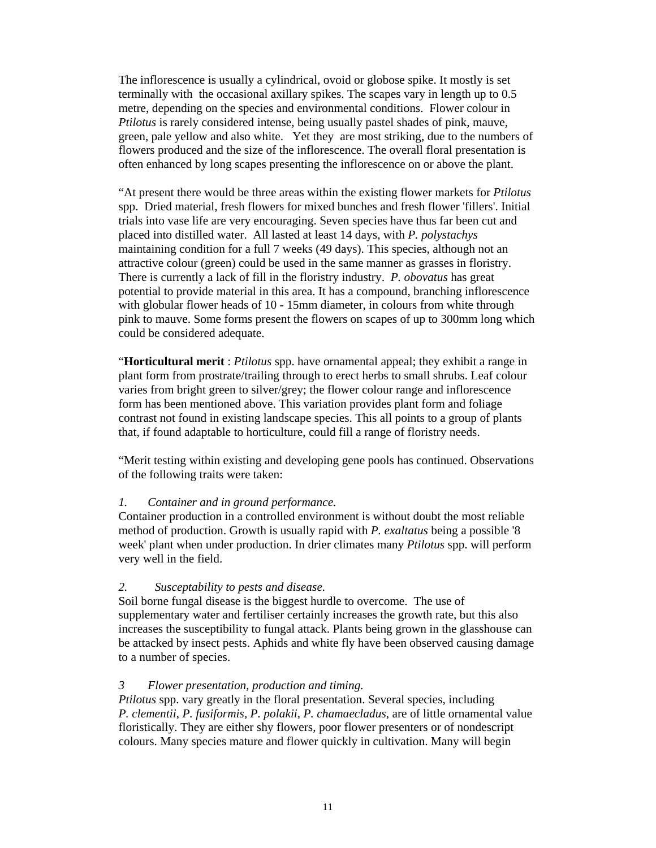The inflorescence is usually a cylindrical, ovoid or globose spike. It mostly is set terminally with the occasional axillary spikes. The scapes vary in length up to 0.5 metre, depending on the species and environmental conditions. Flower colour in *Ptilotus* is rarely considered intense, being usually pastel shades of pink, mauve, green, pale yellow and also white. Yet they are most striking, due to the numbers of flowers produced and the size of the inflorescence. The overall floral presentation is often enhanced by long scapes presenting the inflorescence on or above the plant.

"At present there would be three areas within the existing flower markets for *Ptilotus*  spp. Dried material, fresh flowers for mixed bunches and fresh flower 'fillers'. Initial trials into vase life are very encouraging. Seven species have thus far been cut and placed into distilled water. All lasted at least 14 days, with *P. polystachys* maintaining condition for a full 7 weeks (49 days). This species, although not an attractive colour (green) could be used in the same manner as grasses in floristry. There is currently a lack of fill in the floristry industry. *P. obovatus* has great potential to provide material in this area. It has a compound, branching inflorescence with globular flower heads of 10 - 15mm diameter, in colours from white through pink to mauve. Some forms present the flowers on scapes of up to 300mm long which could be considered adequate.

"**Horticultural merit** : *Ptilotus* spp. have ornamental appeal; they exhibit a range in plant form from prostrate/trailing through to erect herbs to small shrubs. Leaf colour varies from bright green to silver/grey; the flower colour range and inflorescence form has been mentioned above. This variation provides plant form and foliage contrast not found in existing landscape species. This all points to a group of plants that, if found adaptable to horticulture, could fill a range of floristry needs.

"Merit testing within existing and developing gene pools has continued. Observations of the following traits were taken:

#### *1. Container and in ground performance.*

Container production in a controlled environment is without doubt the most reliable method of production. Growth is usually rapid with *P. exaltatus* being a possible '8 week' plant when under production. In drier climates many *Ptilotus* spp. will perform very well in the field.

#### *2. Susceptability to pests and disease.*

Soil borne fungal disease is the biggest hurdle to overcome. The use of supplementary water and fertiliser certainly increases the growth rate, but this also increases the susceptibility to fungal attack. Plants being grown in the glasshouse can be attacked by insect pests. Aphids and white fly have been observed causing damage to a number of species.

#### *3 Flower presentation, production and timing.*

*Ptilotus* spp. vary greatly in the floral presentation. Several species, including *P. clementii*, *P. fusiformis, P. polakii, P. chamaecladus*, are of little ornamental value floristically. They are either shy flowers, poor flower presenters or of nondescript colours. Many species mature and flower quickly in cultivation. Many will begin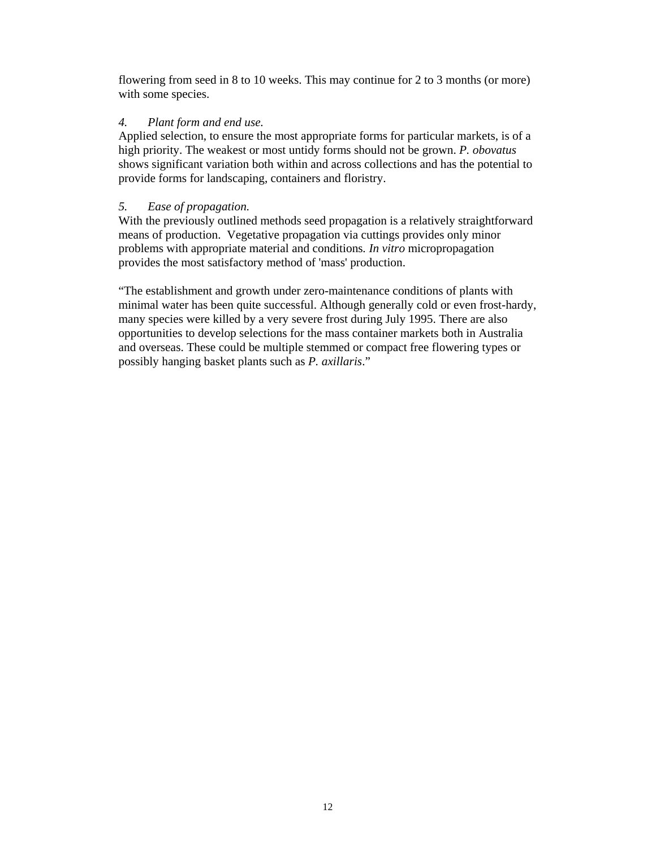flowering from seed in 8 to 10 weeks. This may continue for 2 to 3 months (or more) with some species.

#### *4. Plant form and end use.*

Applied selection, to ensure the most appropriate forms for particular markets, is of a high priority. The weakest or most untidy forms should not be grown. *P. obovatus* shows significant variation both within and across collections and has the potential to provide forms for landscaping, containers and floristry.

#### *5. Ease of propagation.*

With the previously outlined methods seed propagation is a relatively straightforward means of production. Vegetative propagation via cuttings provides only minor problems with appropriate material and conditions*. In vitro* micropropagation provides the most satisfactory method of 'mass' production.

"The establishment and growth under zero-maintenance conditions of plants with minimal water has been quite successful. Although generally cold or even frost-hardy, many species were killed by a very severe frost during July 1995. There are also opportunities to develop selections for the mass container markets both in Australia and overseas. These could be multiple stemmed or compact free flowering types or possibly hanging basket plants such as *P. axillaris*."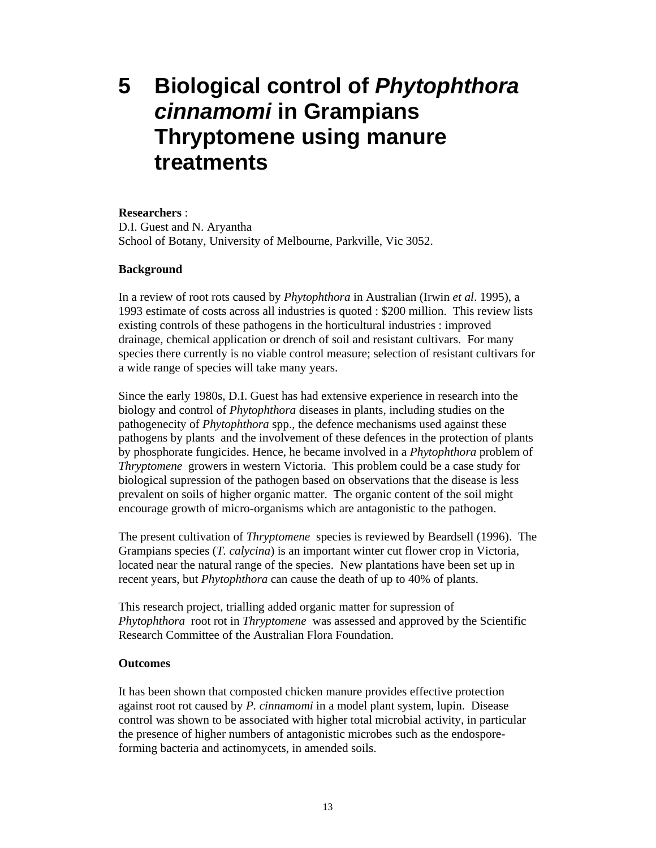### **5 Biological control of** *Phytophthora cinnamomi* **in Grampians Thryptomene using manure treatments**

#### **Researchers** :

D.I. Guest and N. Aryantha School of Botany, University of Melbourne, Parkville, Vic 3052.

#### **Background**

In a review of root rots caused by *Phytophthora* in Australian (Irwin *et al*. 1995), a 1993 estimate of costs across all industries is quoted : \$200 million. This review lists existing controls of these pathogens in the horticultural industries : improved drainage, chemical application or drench of soil and resistant cultivars. For many species there currently is no viable control measure; selection of resistant cultivars for a wide range of species will take many years.

Since the early 1980s, D.I. Guest has had extensive experience in research into the biology and control of *Phytophthora* diseases in plants, including studies on the pathogenecity of *Phytophthora* spp., the defence mechanisms used against these pathogens by plants and the involvement of these defences in the protection of plants by phosphorate fungicides. Hence, he became involved in a *Phytophthora* problem of *Thryptomene* growers in western Victoria. This problem could be a case study for biological supression of the pathogen based on observations that the disease is less prevalent on soils of higher organic matter. The organic content of the soil might encourage growth of micro-organisms which are antagonistic to the pathogen.

The present cultivation of *Thryptomene* species is reviewed by Beardsell (1996). The Grampians species (*T. calycina*) is an important winter cut flower crop in Victoria, located near the natural range of the species. New plantations have been set up in recent years, but *Phytophthora* can cause the death of up to 40% of plants.

This research project, trialling added organic matter for supression of *Phytophthora* root rot in *Thryptomene* was assessed and approved by the Scientific Research Committee of the Australian Flora Foundation.

#### **Outcomes**

It has been shown that composted chicken manure provides effective protection against root rot caused by *P. cinnamomi* in a model plant system, lupin. Disease control was shown to be associated with higher total microbial activity, in particular the presence of higher numbers of antagonistic microbes such as the endosporeforming bacteria and actinomycets, in amended soils.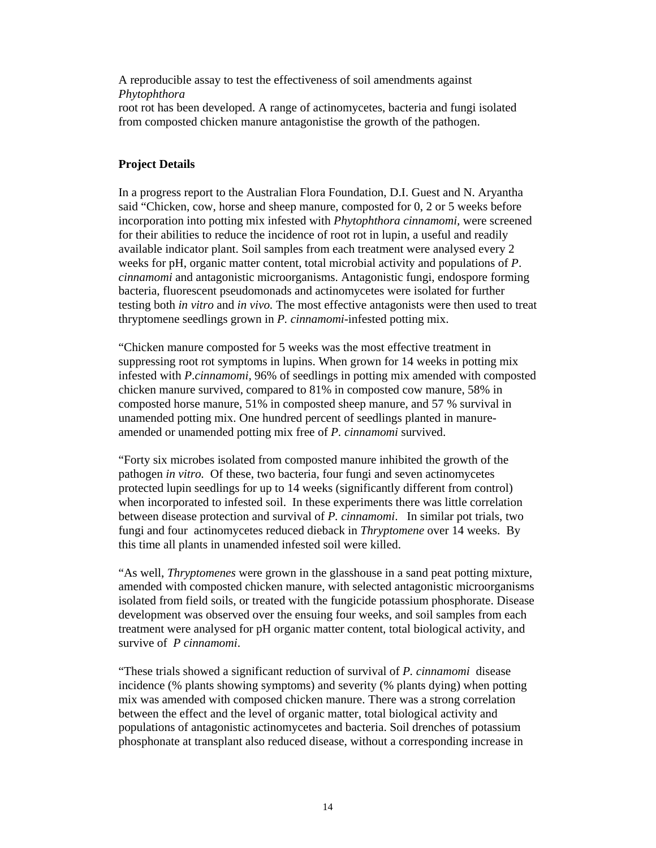A reproducible assay to test the effectiveness of soil amendments against *Phytophthora*  root rot has been developed. A range of actinomycetes, bacteria and fungi isolated from composted chicken manure antagonistise the growth of the pathogen.

#### **Project Details**

In a progress report to the Australian Flora Foundation, D.I. Guest and N. Aryantha said "Chicken, cow, horse and sheep manure, composted for 0, 2 or 5 weeks before incorporation into potting mix infested with *Phytophthora cinnamomi,* were screened for their abilities to reduce the incidence of root rot in lupin, a useful and readily available indicator plant. Soil samples from each treatment were analysed every 2 weeks for pH, organic matter content, total microbial activity and populations of *P*. *cinnamomi* and antagonistic microorganisms. Antagonistic fungi, endospore forming bacteria, fluorescent pseudomonads and actinomycetes were isolated for further testing both *in vitro* and *in vivo.* The most effective antagonists were then used to treat thryptomene seedlings grown in *P. cinnamomi*-infested potting mix.

"Chicken manure composted for 5 weeks was the most effective treatment in suppressing root rot symptoms in lupins. When grown for 14 weeks in potting mix infested with *P*.*cinnamomi,* 96% of seedlings in potting mix amended with composted chicken manure survived, compared to 81% in composted cow manure, 58% in composted horse manure, 51% in composted sheep manure, and 57 % survival in unamended potting mix. One hundred percent of seedlings planted in manureamended or unamended potting mix free of *P. cinnamomi* survived.

"Forty six microbes isolated from composted manure inhibited the growth of the pathogen *in vitro.* Of these, two bacteria, four fungi and seven actinomycetes protected lupin seedlings for up to 14 weeks (significantly different from control) when incorporated to infested soil. In these experiments there was little correlation between disease protection and survival of *P. cinnamomi*. In similar pot trials, two fungi and four actinomycetes reduced dieback in *Thryptomene* over 14 weeks. By this time all plants in unamended infested soil were killed.

"As well, *Thryptomenes* were grown in the glasshouse in a sand peat potting mixture, amended with composted chicken manure, with selected antagonistic microorganisms isolated from field soils, or treated with the fungicide potassium phosphorate. Disease development was observed over the ensuing four weeks, and soil samples from each treatment were analysed for pH organic matter content, total biological activity, and survive of *P cinnamomi*.

"These trials showed a significant reduction of survival of *P. cinnamomi* disease incidence (% plants showing symptoms) and severity (% plants dying) when potting mix was amended with composed chicken manure. There was a strong correlation between the effect and the level of organic matter, total biological activity and populations of antagonistic actinomycetes and bacteria. Soil drenches of potassium phosphonate at transplant also reduced disease, without a corresponding increase in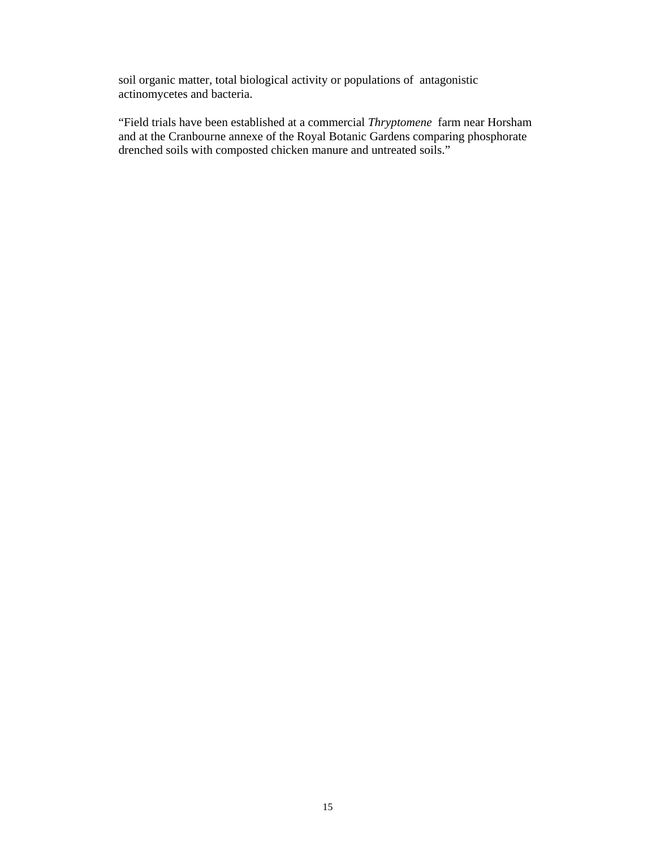soil organic matter, total biological activity or populations of antagonistic actinomycetes and bacteria.

"Field trials have been established at a commercial *Thryptomene* farm near Horsham and at the Cranbourne annexe of the Royal Botanic Gardens comparing phosphorate drenched soils with composted chicken manure and untreated soils."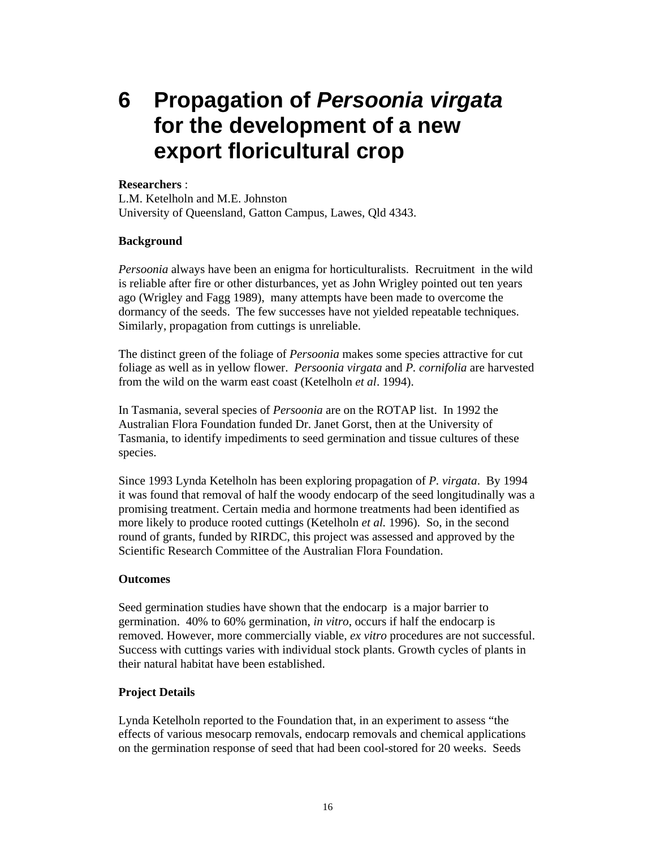**6 Propagation of** *Persoonia virgata* **for the development of a new export floricultural crop** 

#### **Researchers** :

L.M. Ketelholn and M.E. Johnston University of Queensland, Gatton Campus, Lawes, Qld 4343.

#### **Background**

*Persoonia* always have been an enigma for horticulturalists. Recruitment in the wild is reliable after fire or other disturbances, yet as John Wrigley pointed out ten years ago (Wrigley and Fagg 1989), many attempts have been made to overcome the dormancy of the seeds. The few successes have not yielded repeatable techniques. Similarly, propagation from cuttings is unreliable.

The distinct green of the foliage of *Persoonia* makes some species attractive for cut foliage as well as in yellow flower. *Persoonia virgata* and *P. cornifolia* are harvested from the wild on the warm east coast (Ketelholn *et al*. 1994).

In Tasmania, several species of *Persoonia* are on the ROTAP list. In 1992 the Australian Flora Foundation funded Dr. Janet Gorst, then at the University of Tasmania, to identify impediments to seed germination and tissue cultures of these species.

Since 1993 Lynda Ketelholn has been exploring propagation of *P. virgata*. By 1994 it was found that removal of half the woody endocarp of the seed longitudinally was a promising treatment. Certain media and hormone treatments had been identified as more likely to produce rooted cuttings (Ketelholn *et al.* 1996). So, in the second round of grants, funded by RIRDC, this project was assessed and approved by the Scientific Research Committee of the Australian Flora Foundation.

#### **Outcomes**

Seed germination studies have shown that the endocarp is a major barrier to germination. 40% to 60% germination, *in vitro*, occurs if half the endocarp is removed. However, more commercially viable, *ex vitro* procedures are not successful. Success with cuttings varies with individual stock plants. Growth cycles of plants in their natural habitat have been established.

#### **Project Details**

Lynda Ketelholn reported to the Foundation that, in an experiment to assess "the effects of various mesocarp removals, endocarp removals and chemical applications on the germination response of seed that had been cool-stored for 20 weeks. Seeds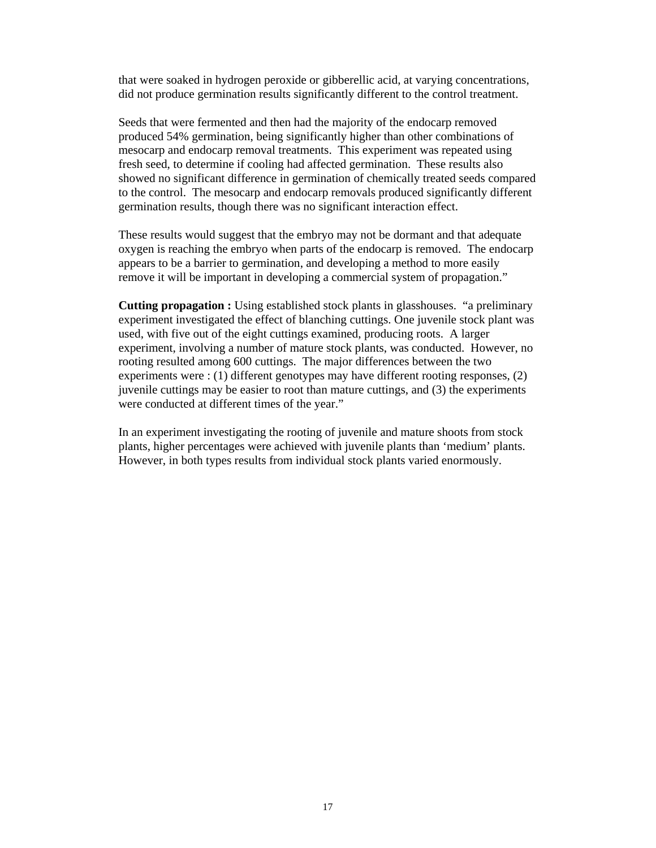that were soaked in hydrogen peroxide or gibberellic acid, at varying concentrations, did not produce germination results significantly different to the control treatment.

Seeds that were fermented and then had the majority of the endocarp removed produced 54% germination, being significantly higher than other combinations of mesocarp and endocarp removal treatments. This experiment was repeated using fresh seed, to determine if cooling had affected germination. These results also showed no significant difference in germination of chemically treated seeds compared to the control. The mesocarp and endocarp removals produced significantly different germination results, though there was no significant interaction effect.

These results would suggest that the embryo may not be dormant and that adequate oxygen is reaching the embryo when parts of the endocarp is removed. The endocarp appears to be a barrier to germination, and developing a method to more easily remove it will be important in developing a commercial system of propagation."

**Cutting propagation :** Using established stock plants in glasshouses. "a preliminary experiment investigated the effect of blanching cuttings. One juvenile stock plant was used, with five out of the eight cuttings examined, producing roots. A larger experiment, involving a number of mature stock plants, was conducted. However, no rooting resulted among 600 cuttings. The major differences between the two experiments were : (1) different genotypes may have different rooting responses, (2) juvenile cuttings may be easier to root than mature cuttings, and (3) the experiments were conducted at different times of the year."

In an experiment investigating the rooting of juvenile and mature shoots from stock plants, higher percentages were achieved with juvenile plants than 'medium' plants. However, in both types results from individual stock plants varied enormously.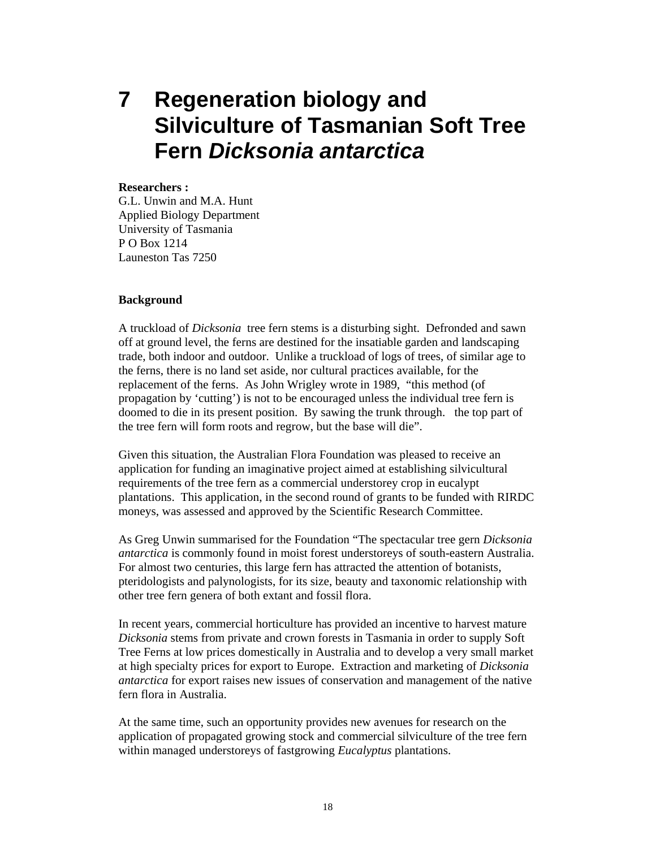**7 Regeneration biology and Silviculture of Tasmanian Soft Tree Fern** *Dicksonia antarctica* 

#### **Researchers :**

G.L. Unwin and M.A. Hunt Applied Biology Department University of Tasmania P O Box 1214 Launeston Tas 7250

#### **Background**

A truckload of *Dicksonia* tree fern stems is a disturbing sight. Defronded and sawn off at ground level, the ferns are destined for the insatiable garden and landscaping trade, both indoor and outdoor. Unlike a truckload of logs of trees, of similar age to the ferns, there is no land set aside, nor cultural practices available, for the replacement of the ferns. As John Wrigley wrote in 1989, "this method (of propagation by 'cutting') is not to be encouraged unless the individual tree fern is doomed to die in its present position. By sawing the trunk through. the top part of the tree fern will form roots and regrow, but the base will die".

Given this situation, the Australian Flora Foundation was pleased to receive an application for funding an imaginative project aimed at establishing silvicultural requirements of the tree fern as a commercial understorey crop in eucalypt plantations. This application, in the second round of grants to be funded with RIRDC moneys, was assessed and approved by the Scientific Research Committee.

As Greg Unwin summarised for the Foundation "The spectacular tree gern *Dicksonia antarctica* is commonly found in moist forest understoreys of south-eastern Australia. For almost two centuries, this large fern has attracted the attention of botanists, pteridologists and palynologists, for its size, beauty and taxonomic relationship with other tree fern genera of both extant and fossil flora.

In recent years, commercial horticulture has provided an incentive to harvest mature *Dicksonia* stems from private and crown forests in Tasmania in order to supply Soft Tree Ferns at low prices domestically in Australia and to develop a very small market at high specialty prices for export to Europe. Extraction and marketing of *Dicksonia antarctica* for export raises new issues of conservation and management of the native fern flora in Australia.

At the same time, such an opportunity provides new avenues for research on the application of propagated growing stock and commercial silviculture of the tree fern within managed understoreys of fastgrowing *Eucalyptus* plantations.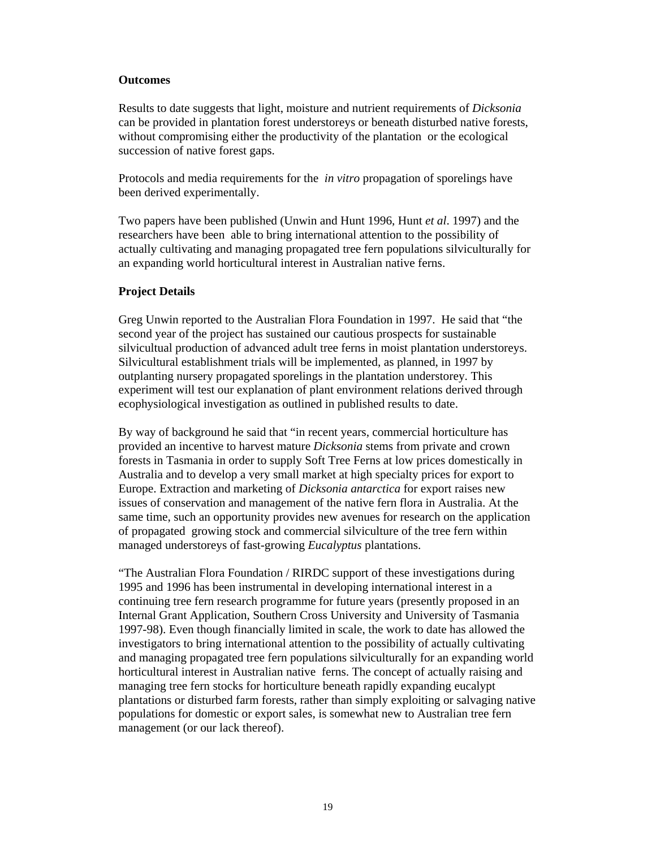#### **Outcomes**

Results to date suggests that light, moisture and nutrient requirements of *Dicksonia* can be provided in plantation forest understoreys or beneath disturbed native forests, without compromising either the productivity of the plantation or the ecological succession of native forest gaps.

Protocols and media requirements for the *in vitro* propagation of sporelings have been derived experimentally.

Two papers have been published (Unwin and Hunt 1996, Hunt *et al*. 1997) and the researchers have been able to bring international attention to the possibility of actually cultivating and managing propagated tree fern populations silviculturally for an expanding world horticultural interest in Australian native ferns.

#### **Project Details**

Greg Unwin reported to the Australian Flora Foundation in 1997. He said that "the second year of the project has sustained our cautious prospects for sustainable silvicultual production of advanced adult tree ferns in moist plantation understoreys. Silvicultural establishment trials will be implemented, as planned, in 1997 by outplanting nursery propagated sporelings in the plantation understorey. This experiment will test our explanation of plant environment relations derived through ecophysiological investigation as outlined in published results to date.

By way of background he said that "in recent years, commercial horticulture has provided an incentive to harvest mature *Dicksonia* stems from private and crown forests in Tasmania in order to supply Soft Tree Ferns at low prices domestically in Australia and to develop a very small market at high specialty prices for export to Europe. Extraction and marketing of *Dicksonia antarctica* for export raises new issues of conservation and management of the native fern flora in Australia. At the same time, such an opportunity provides new avenues for research on the application of propagated growing stock and commercial silviculture of the tree fern within managed understoreys of fast-growing *Eucalyptus* plantations.

"The Australian Flora Foundation / RIRDC support of these investigations during 1995 and 1996 has been instrumental in developing international interest in a continuing tree fern research programme for future years (presently proposed in an Internal Grant Application, Southern Cross University and University of Tasmania 1997-98). Even though financially limited in scale, the work to date has allowed the investigators to bring international attention to the possibility of actually cultivating and managing propagated tree fern populations silviculturally for an expanding world horticultural interest in Australian native ferns. The concept of actually raising and managing tree fern stocks for horticulture beneath rapidly expanding eucalypt plantations or disturbed farm forests, rather than simply exploiting or salvaging native populations for domestic or export sales, is somewhat new to Australian tree fern management (or our lack thereof).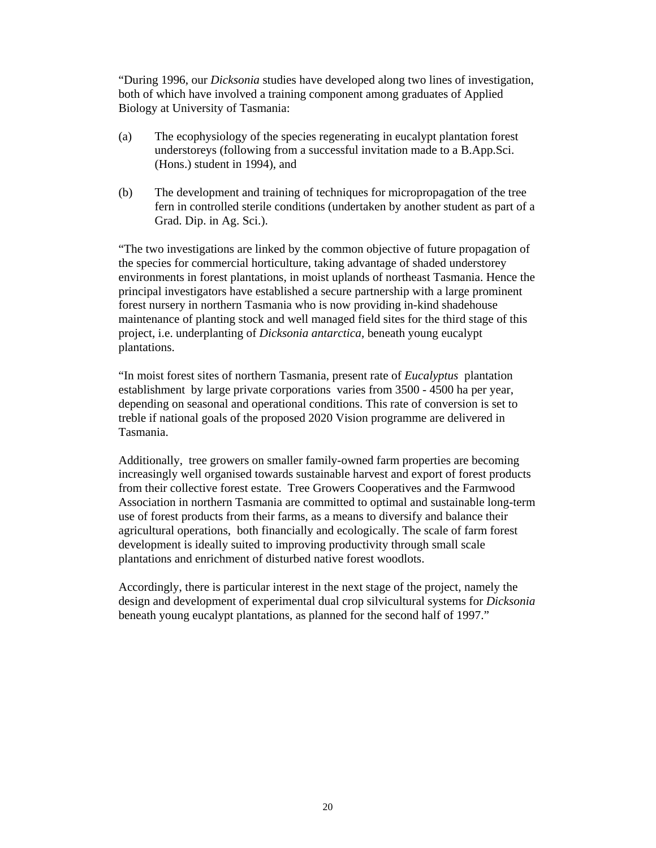"During 1996, our *Dicksonia* studies have developed along two lines of investigation, both of which have involved a training component among graduates of Applied Biology at University of Tasmania:

- (a) The ecophysiology of the species regenerating in eucalypt plantation forest understoreys (following from a successful invitation made to a B.App.Sci. (Hons.) student in 1994), and
- (b) The development and training of techniques for micropropagation of the tree fern in controlled sterile conditions (undertaken by another student as part of a Grad. Dip. in Ag. Sci.).

"The two investigations are linked by the common objective of future propagation of the species for commercial horticulture, taking advantage of shaded understorey environments in forest plantations, in moist uplands of northeast Tasmania. Hence the principal investigators have established a secure partnership with a large prominent forest nursery in northern Tasmania who is now providing in-kind shadehouse maintenance of planting stock and well managed field sites for the third stage of this project, i.e. underplanting of *Dicksonia antarctica,* beneath young eucalypt plantations.

"In moist forest sites of northern Tasmania, present rate of *Eucalyptus* plantation establishment by large private corporations varies from 3500 - 4500 ha per year, depending on seasonal and operational conditions. This rate of conversion is set to treble if national goals of the proposed 2020 Vision programme are delivered in Tasmania.

Additionally, tree growers on smaller family-owned farm properties are becoming increasingly well organised towards sustainable harvest and export of forest products from their collective forest estate. Tree Growers Cooperatives and the Farmwood Association in northern Tasmania are committed to optimal and sustainable long-term use of forest products from their farms, as a means to diversify and balance their agricultural operations, both financially and ecologically. The scale of farm forest development is ideally suited to improving productivity through small scale plantations and enrichment of disturbed native forest woodlots.

Accordingly, there is particular interest in the next stage of the project, namely the design and development of experimental dual crop silvicultural systems for *Dicksonia*  beneath young eucalypt plantations, as planned for the second half of 1997."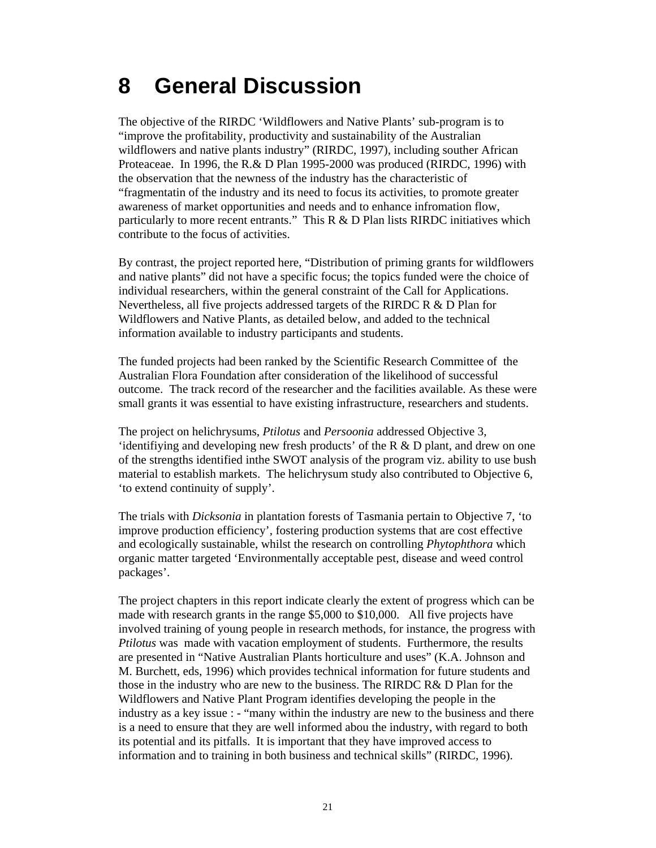## **8 General Discussion**

The objective of the RIRDC 'Wildflowers and Native Plants' sub-program is to "improve the profitability, productivity and sustainability of the Australian wildflowers and native plants industry" (RIRDC, 1997), including souther African Proteaceae. In 1996, the R.& D Plan 1995-2000 was produced (RIRDC, 1996) with the observation that the newness of the industry has the characteristic of "fragmentatin of the industry and its need to focus its activities, to promote greater awareness of market opportunities and needs and to enhance infromation flow, particularly to more recent entrants." This  $R & D$  Plan lists RIRDC initiatives which contribute to the focus of activities.

By contrast, the project reported here, "Distribution of priming grants for wildflowers and native plants" did not have a specific focus; the topics funded were the choice of individual researchers, within the general constraint of the Call for Applications. Nevertheless, all five projects addressed targets of the RIRDC R & D Plan for Wildflowers and Native Plants, as detailed below, and added to the technical information available to industry participants and students.

The funded projects had been ranked by the Scientific Research Committee of the Australian Flora Foundation after consideration of the likelihood of successful outcome. The track record of the researcher and the facilities available. As these were small grants it was essential to have existing infrastructure, researchers and students.

The project on helichrysums, *Ptilotus* and *Persoonia* addressed Objective 3, 'identifiying and developing new fresh products' of the R & D plant, and drew on one of the strengths identified inthe SWOT analysis of the program viz. ability to use bush material to establish markets. The helichrysum study also contributed to Objective 6, 'to extend continuity of supply'.

The trials with *Dicksonia* in plantation forests of Tasmania pertain to Objective 7, 'to improve production efficiency', fostering production systems that are cost effective and ecologically sustainable, whilst the research on controlling *Phytophthora* which organic matter targeted 'Environmentally acceptable pest, disease and weed control packages'.

The project chapters in this report indicate clearly the extent of progress which can be made with research grants in the range \$5,000 to \$10,000. All five projects have involved training of young people in research methods, for instance, the progress with *Ptilotus* was made with vacation employment of students. Furthermore, the results are presented in "Native Australian Plants horticulture and uses" (K.A. Johnson and M. Burchett, eds, 1996) which provides technical information for future students and those in the industry who are new to the business. The RIRDC R& D Plan for the Wildflowers and Native Plant Program identifies developing the people in the industry as a key issue : - "many within the industry are new to the business and there is a need to ensure that they are well informed abou the industry, with regard to both its potential and its pitfalls. It is important that they have improved access to information and to training in both business and technical skills" (RIRDC, 1996).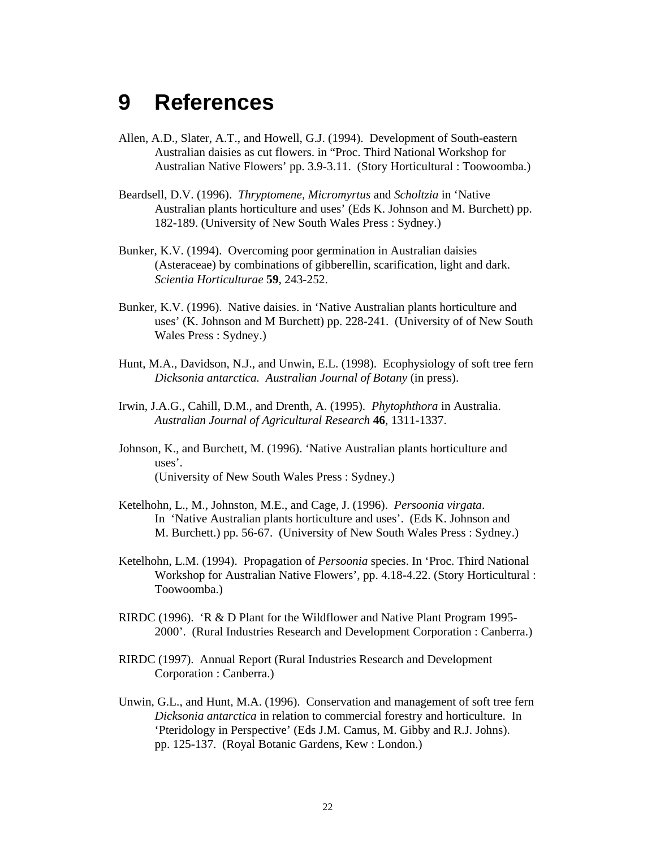### **9 References**

- Allen, A.D., Slater, A.T., and Howell, G.J. (1994). Development of South-eastern Australian daisies as cut flowers. in "Proc. Third National Workshop for Australian Native Flowers' pp. 3.9-3.11. (Story Horticultural : Toowoomba.)
- Beardsell, D.V. (1996). *Thryptomene, Micromyrtus* and *Scholtzia* in 'Native Australian plants horticulture and uses' (Eds K. Johnson and M. Burchett) pp. 182-189. (University of New South Wales Press : Sydney.)
- Bunker, K.V. (1994). Overcoming poor germination in Australian daisies (Asteraceae) by combinations of gibberellin, scarification, light and dark. *Scientia Horticulturae* **59**, 243-252.
- Bunker, K.V. (1996). Native daisies. in 'Native Australian plants horticulture and uses' (K. Johnson and M Burchett) pp. 228-241. (University of of New South Wales Press : Sydney.)
- Hunt, M.A., Davidson, N.J., and Unwin, E.L. (1998). Ecophysiology of soft tree fern *Dicksonia antarctica. Australian Journal of Botany* (in press).
- Irwin, J.A.G., Cahill, D.M., and Drenth, A. (1995). *Phytophthora* in Australia. *Australian Journal of Agricultural Research* **46**, 1311-1337.
- Johnson, K., and Burchett, M. (1996). 'Native Australian plants horticulture and uses'. (University of New South Wales Press : Sydney.)
- Ketelhohn, L., M., Johnston, M.E., and Cage, J. (1996). *Persoonia virgata*. In 'Native Australian plants horticulture and uses'. (Eds K. Johnson and M. Burchett.) pp. 56-67. (University of New South Wales Press : Sydney.)
- Ketelhohn, L.M. (1994). Propagation of *Persoonia* species. In 'Proc. Third National Workshop for Australian Native Flowers', pp. 4.18-4.22. (Story Horticultural : Toowoomba.)
- RIRDC (1996). 'R & D Plant for the Wildflower and Native Plant Program 1995- 2000'. (Rural Industries Research and Development Corporation : Canberra.)
- RIRDC (1997). Annual Report (Rural Industries Research and Development Corporation : Canberra.)
- Unwin, G.L., and Hunt, M.A. (1996). Conservation and management of soft tree fern *Dicksonia antarctica* in relation to commercial forestry and horticulture. In 'Pteridology in Perspective' (Eds J.M. Camus, M. Gibby and R.J. Johns). pp. 125-137. (Royal Botanic Gardens, Kew : London.)